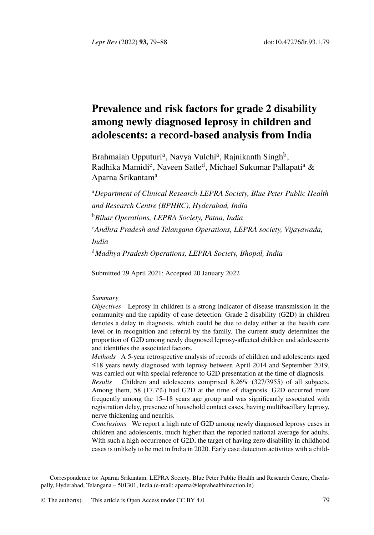*Lepr Rev* (2022) **93,** 79–88 doi:10.47276/lr.93.1.79

# **Prevalence and risk factors for grade 2 disability among newly diagnosed leprosy in children and adolescents: a record-based analysis from India**

Brahmaiah Upputuri<sup>a</sup>, Navya Vulchi<sup>a</sup>, Rajnikanth Singh<sup>b</sup>, Radhika Mamidi<sup>c</sup>, Naveen Satle<sup>d</sup>, Michael Sukumar Pallapati<sup>a</sup> & Aparna Srikantam<sup>a</sup>

<sup>a</sup>*Department of Clinical Research-LEPRA Society, Blue Peter Public Health and Research Centre (BPHRC), Hyderabad, India* <sup>b</sup>*Bihar Operations, LEPRA Society, Patna, India* <sup>c</sup>*Andhra Pradesh and Telangana Operations, LEPRA society, Vijayawada, India*

<sup>d</sup>*Madhya Pradesh Operations, LEPRA Society, Bhopal, India*

Submitted 29 April 2021; Accepted 20 January 2022

## *Summary*

*Objectives* Leprosy in children is a strong indicator of disease transmission in the community and the rapidity of case detection. Grade 2 disability (G2D) in children denotes a delay in diagnosis, which could be due to delay either at the health care level or in recognition and referral by the family. The current study determines the proportion of G2D among newly diagnosed leprosy-affected children and adolescents and identifies the associated factors.

*Methods* A 5-year retrospective analysis of records of children and adolescents aged ≤18 years newly diagnosed with leprosy between April 2014 and September 2019, was carried out with special reference to G2D presentation at the time of diagnosis.

*Results* Children and adolescents comprised 8.26% (327/3955) of all subjects. Among them, 58 (17.7%) had G2D at the time of diagnosis. G2D occurred more frequently among the 15–18 [years age group and was s](mailto:aparna@leprahealthinaction.in)ignificantly associated with registration delay, presence of household contact cases, having multibacillary leprosy, nerve thickening and neuritis.

*Conclusions* We report a hig[h rate of G](http://creativecommons.org/licenses/by/4.0/)2D among newly diagnosed leprosy cases in children and adolescents, much higher than the reported national average for adults. With such a high occurrence of G2D, the target of having zero disability in childhood cases is unlikely to be met in India in 2020. Early case detection activities with a child-

Correspondence to: Aparna Srikantam, LEPRA Society, Blue Peter Public Health and Research Centre, Cherlapally, Hyderabad, Telangana – 501301, India (e-mail: aparna@leprahealthinaction.in)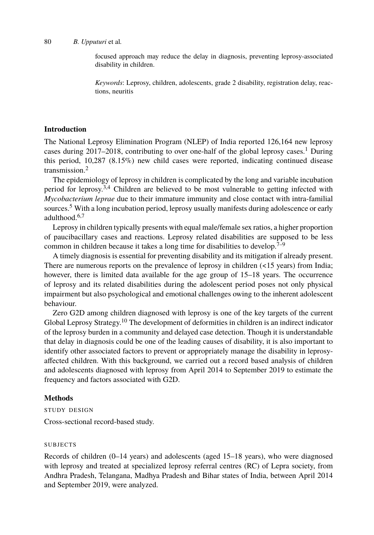# 80 *B. Upputuri* et al*.*

focused approach may reduce the delay in diagnosis, preventing leprosy-associated disability in children.

*Keywords*: Leprosy, children, adolescents, grade 2 disability, registration delay, reactions, neuritis

## **Introd[uc](#page-9-0)t[io](#page-9-1)[n](#page-9-2)**

The National Leprosy Elimination Program (NLEP) of India reported 126,164 new leprosy cases during  $2017-2018$ , contributing to over one-half of the global leprosy cases.<sup>1</sup> During this period, 10,287 (8.15%) new child cases were reported, indicating [c](#page-9-2)[on](#page-9-3)tinued disease transmission.<sup>2</sup>

The epidemiology of leprosy in children is complicated by the long and variable incubation period for leprosy.3,4 Children are believed to be most vulnerable to getting infected with *Mycobacterium leprae* due to their immature immunity and close contact with intra-familial sources.<sup>5</sup> With a long incubation period, leprosy usually manifests during adolescence or early adulthood.6,7

Leprosy in children typically presents with equal male/female sex ratios, a higher proportion of paucibacillary cases [an](#page-9-4)d reactions. Leprosy related disabilities are supposed to be less common in children because it takes a long time for disabilities to develop.<sup>7–9</sup>

A timely diagnosis is essential for preventing disability and its mitigation if already present. There are numerous reports on the prevalence of leprosy in children (<15 years) from India; however, there is limited data available for the age group of 15–18 years. The occurrence of leprosy and its related disabilities during the adolescent period poses not only physical impairment but also psychological and emotional challenges owing to the inherent adolescent behaviour.

Zero G2D among children diagnosed with leprosy is one of the key targets of the current Global Leprosy Strategy.<sup>10</sup> The development of deformities in children is an indirect indicator of the leprosy burden in a community and delayed case detection. Though it is understandable that delay in diagnosis could be one of the leading causes of disability, it is also important to identify other associated factors to prevent or appropriately manage the disability in leprosyaffected children. With this background, we carried out a record based analysis of children and adolescents diagnosed with leprosy from April 2014 to September 2019 to estimate the frequency and factors associated with G2D.

# **Methods**

STUDY DESIGN

Cross-sectional record-based study.

# SUBJECTS

Records of children (0–14 years) and adolescents (aged 15–18 years), who were diagnosed with leprosy and treated at specialized leprosy referral centres (RC) of Lepra society, from Andhra Pradesh, Telangana, Madhya Pradesh and Bihar states of India, between April 2014 and September 2019, were analyzed.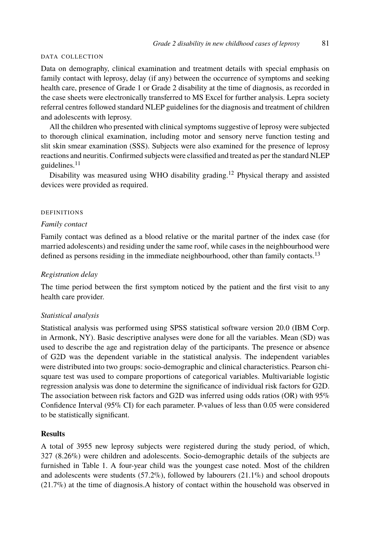### *Grade 2 disability in new childhood cases of leprosy* 81

#### DATA COLLECTION

Data on demography, clinical examination and treatment details with special emphasis on family con[tac](#page-9-5)t with leprosy, delay (if any) between the occurrence of symptoms and seeking health care, presence of Grade 1 or Grade 2 disability at the [tim](#page-9-6)e of diagnosis, as recorded in the case sheets were electronically transferred to MS Excel for further analysis. Lepra society referral centres followed standard NLEP guidelines for the diagnosis and treatment of children and adolescents with leprosy.

All the children who presented with clinical symptoms suggestive of leprosy were subjected to thorough clinical examination, including motor and sensory nerve function testing and slit skin smear examination (SSS). Subjects were also examined for the presence of leprosy reactions and neuritis. Confirmed subjects were classified and treated as per the standard NLEP guidelines. $11$ 

Disability was measured using WHO disability grading.<sup>12</sup> Physical therapy and as[sis](#page-9-7)ted devices were provided as required.

# DEFINITIONS

## *Family contact*

Family contact was defined as a blood relative or the marital partner of the index case (for married adolescents) and residing under the same roof, while cases in the neighbourhood were defined as persons residing in the immediate neighbourhood, other than family contacts.<sup>13</sup>

# *Registration delay*

The time period between the first symptom noticed by the patient and the first visit to any health care provider.

### *Statistical analysis*

Statistical analysis was performed using SPSS statistical software version 20.0 (IBM Corp. in Armonk, NY). Basic descriptive analyses were done for all the variables. Mean (SD) was used to describe the age and registration delay of the participants. The presence or absence of G2D was the dependent variable in the statistical analysis. The independent variables were distributed into two groups: socio-demographic and clinical characteristics. Pearson chisquare test was used to compare proportions of categorical variables. Multivariable logistic regression analysis [w](#page-3-0)as done to determine the significance of individual risk factors for G2D. The association between risk factors and G2D was inferred using odds ratios (OR) with 95% Confidence Interval (95% CI) for each parameter. P-values of less than 0.05 were considered to be statistically significant.

## **Results**

A total of 3955 new leprosy subjects were registered during the study period, of which, 327 (8.26%) were children and adolescents. Socio-demographic details of the subjects are furnished in Table 1. A four-year child was the youngest case noted. Most of the children and adolescents were students  $(57.2\%)$ , followed by labourers  $(21.1\%)$  and school dropouts (21.7%) at the time of diagnosis.A history of contact within the household was observed in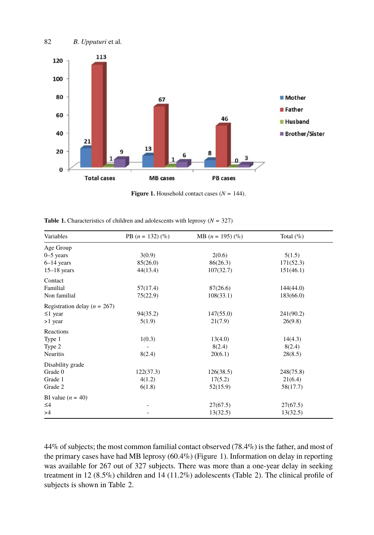<span id="page-3-1"></span><span id="page-3-0"></span>

**Figure 1.** Household contact cases  $(N = 144)$ .

**Table 1.** Characteristics of children and adolescents with leprosy (*N* = 327)

| Variables                        | PB $(n = 132)$ $(\%)$ | MB $(n = 195)$ $(\%)$ | Total $(\% )$ |  |
|----------------------------------|-----------------------|-----------------------|---------------|--|
| Age Group                        |                       |                       |               |  |
| $0-5$ years                      | 3(0.9)                | 2(0.6)                | 5(1.5)        |  |
| $6-14$ years                     | 85(26.0)              | 86(26.3)              | 171(52.3)     |  |
| $15-18$ years                    | 44(13.4)              | 107(32.7)             | 151(46.1)     |  |
| Contact                          |                       |                       |               |  |
| Familial                         | 57(17.4)              | 87(26.6)              | 144(44.0)     |  |
| Non familial                     | 75(22.9)              | 108(33.1)             | 183(66.0)     |  |
| Registration delay ( $n = 267$ ) |                       |                       |               |  |
| $\leq$ 1 year                    | 94(35.2)              | 147(55.0)             | 241(90.2)     |  |
| >1 year                          | 5(1.9)                | 21(7.9)               | 26(9.8)       |  |
| Reactions                        |                       |                       |               |  |
| Type 1                           | 1(0.3)                | 13(4.0)               | 14(4.3)       |  |
| Type 2                           |                       | 8(2.4)                | 8(2.4)        |  |
| <b>Neuritis</b>                  | 8(2.4)                | 20(6.1)               | 28(8.5)       |  |
| Disability grade                 |                       |                       |               |  |
| Grade 0                          | 122(37.3)             | 126(38.5)             | 248(75.8)     |  |
| Grade 1                          | 4(1.2)                | 17(5.2)               | 21(6.4)       |  |
| Grade 2                          | 6(1.8)                | 52(15.9)              | 58(17.7)      |  |
| BI value $(n = 40)$              |                       |                       |               |  |
| $\leq 4$                         |                       | 27(67.5)              | 27(67.5)      |  |
| >4                               |                       | 13(32.5)              | 13(32.5)      |  |

44% of subjects; the most common familial contact observed (78.4%) is the father, and most of the primary cases have had MB leprosy (60.4%) (Figure 1). Information on delay in reporting was available for 267 out of 327 subjects. There was more than a one-year delay in seeking treatment in 12 (8.5%) children and 14 (11.2%) adolescents (Table 2). The clinical profile of subjects is shown in Table 2.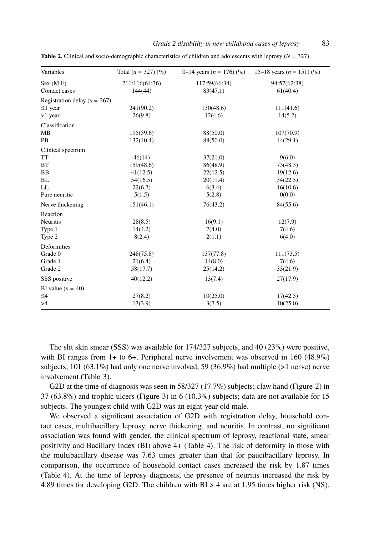### *Grade 2 disability in new childhood cases of leprosy* 83

| Variables                        | Total $(n = 327)$ (%) | 0–14 years ( $n = 176$ ) (%) | 15–18 years ( $n = 151$ ) (%) |
|----------------------------------|-----------------------|------------------------------|-------------------------------|
| Sex (M:F)                        | 211:116(64:36)        | 117:59(66:34)                | 94:57(62:38)                  |
| Contact cases                    | 144(44)               | 83(47.1)                     | 61(40.4)                      |
| Registration delay ( $n = 267$ ) |                       |                              |                               |
| $\leq$ 1 year                    | 241(90.2)             | 130(48.6)                    | 111(41.6)                     |
| $>1$ year                        | 26(9.8)               | 12(4.6)                      | 14(5.2)                       |
| Classification                   |                       |                              |                               |
| MB                               | 195(59.6)             | 88(50.0)                     | 107(70.9)                     |
| <b>PB</b>                        | 132(40.4)             | 88(50.0)                     | 44(29.1)                      |
| Clinical spectrum                |                       |                              |                               |
| <b>TT</b>                        | 46(14)                | 37(21.0)                     | 9(6.0)                        |
| BT                               | 159(48.6)             | 86(48.9)                     | 73(48.3)                      |
| BB                               | 41(12.5)              | 22(12.5)                     | 19(12.6)                      |
| <b>BL</b>                        | 54(16.5)              | 20(11.4)                     | 34(22.5)                      |
| LL                               | 22(6.7)               | 6(3.4)                       | 16(10.6)                      |
| Pure neuritic                    | 5(1.5)                | 5(2.8)                       | 0(0.0)                        |
| Nerve thickening                 | 151(46.1)             | 76(43.2)                     | 84(55.6)                      |
| Reaction                         |                       |                              |                               |
| Neuritis                         | 28(8.5)               | 16(9.1)                      | 12(7.9)                       |
| Type 1                           | 14(4.2)               | 7(4.0)                       | 7(4.6)                        |
| Type 2                           | 8(2.4)                | 2(1.1)                       | 6(4.0)                        |
| Deformities                      |                       |                              |                               |
| Grade 0                          | 248(75.8)             | 137(77.8)                    | 111(73.5)                     |
| Grade 1                          | 21(6.4)               | 14(8.0)                      | 7(4.6)                        |
| Grade 2                          | 58(17.7)              | 25(14.2)                     | 33(21.9)                      |
| SSS positive                     | 40(12.2)              | 13(7.4)                      | 27(17.9)                      |
| BI value $(n = 40)$              |                       |                              |                               |
| $\leq 4$                         | 27(8.2)               | 10(25.0)                     | 17(42.5)                      |
| >4                               | 13(3.9)               | 3(7.5)                       | 10(25.0)                      |

**Table 2.** Clinical and socio-demographic characteristics of children and adolescents with leprosy (*N* = 327)

The slit skin smear (SSS) was available for 174/327 subjects, and 40 (23%) were positive, with BI ranges from 1+ to 6+. Peripheral nerve in[vol](#page-6-0)vement was observed in 160 (48.9%) subjects; 101 (63.1%) had only one nerve involved, 59 (36.9%) had multiple (>1 nerve) nerve involvement (Table 3).

G2D at the time of diagnosis was seen in 58/327 (17.7%) subjects; claw hand (Figure 2) in 37 (6[3.8%](#page-6-0)) and trophic ulcers (Figure 3) in 6 (10.3%) subjects; data are not available for 15 subjects. The youngest child with G2D was an eight-year old male.

We observed a significant association of G2D with registration delay, household contact cases, multibacillary leprosy, nerve thickening, and neuritis. In contrast, no significant association was found with gender, the clinical spectrum of leprosy, reactional state, smear positivity and Bacillary Index (BI) above 4+ (Table 4). The risk of deformity in those with the multibacillary disease was 7.63 times greater than that for paucibacillary leprosy. In comparison, the occurrence of household contact cases increased the risk by 1.87 times (Table 4). At the time of leprosy diagnosis, the presence of neuritis increased the risk by 4.89 times for developing G2D. The children with BI > 4 are at 1.95 times higher risk (NS).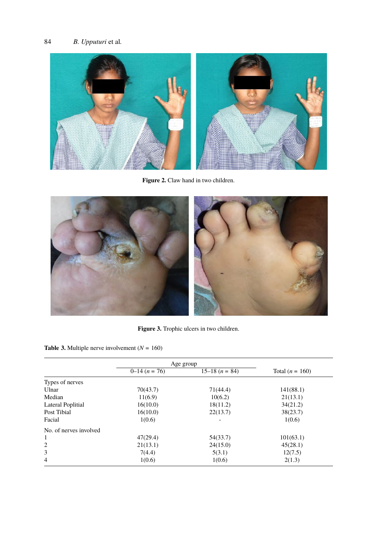

**Figure 2.** Claw hand in two children.



**Figure 3.** Trophic ulcers in two children.

**Table 3.** Multiple nerve involvement  $(N = 160)$ 

|                        | Age group    |                    |                   |  |
|------------------------|--------------|--------------------|-------------------|--|
|                        | $0-14(n=76)$ | $15-18$ $(n = 84)$ | Total $(n = 160)$ |  |
| Types of nerves        |              |                    |                   |  |
| Ulnar                  | 70(43.7)     | 71(44.4)           | 141(88.1)         |  |
| Median                 | 11(6.9)      | 10(6.2)            | 21(13.1)          |  |
| Lateral Poplitial      | 16(10.0)     | 18(11.2)           | 34(21.2)          |  |
| Post Tibial            | 16(10.0)     | 22(13.7)           | 38(23.7)          |  |
| Facial                 | 1(0.6)       |                    | 1(0.6)            |  |
| No. of nerves involved |              |                    |                   |  |
| 1                      | 47(29.4)     | 54(33.7)           | 101(63.1)         |  |
| 2                      | 21(13.1)     | 24(15.0)           | 45(28.1)          |  |
| 3                      | 7(4.4)       | 5(3.1)             | 12(7.5)           |  |
| $\overline{4}$         | 1(0.6)       | 1(0.6)             | 2(1.3)            |  |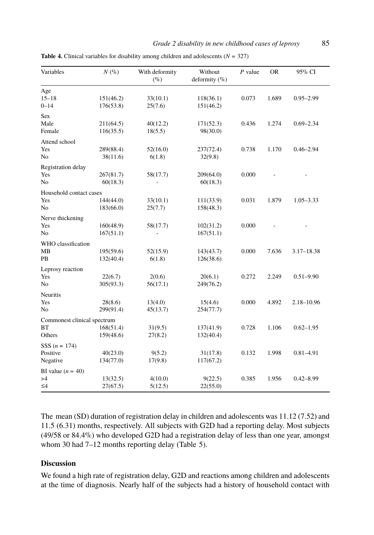| Grade 2 disability in new childhood cases of leprosy | 85 |
|------------------------------------------------------|----|
|------------------------------------------------------|----|

| Variables                                          | $N($ % $)$             | With deformity<br>$(\%)$ | Without<br>deformity $(\% )$ | $P$ value | <b>OR</b> | 95% CI         |
|----------------------------------------------------|------------------------|--------------------------|------------------------------|-----------|-----------|----------------|
| Age<br>$15 - 18$<br>$0 - 14$                       | 151(46.2)<br>176(53.8) | 33(10.1)<br>25(7.6)      | 118(36.1)<br>151(46.2)       | 0.073     | 1.689     | $0.95 - 2.99$  |
| Sex<br>Male<br>Female                              | 211(64.5)<br>116(35.5) | 40(12.2)<br>18(5.5)      | 171(52.3)<br>98(30.0)        | 0.436     | 1.274     | $0.69 - 2.34$  |
| Attend school<br>Yes<br>No                         | 289(88.4)<br>38(11.6)  | 52(16.0)<br>6(1.8)       | 237(72.4)<br>32(9.8)         | 0.738     | 1.170     | $0.46 - 2.94$  |
| Registration delay<br>Yes<br>N <sub>o</sub>        | 267(81.7)<br>60(18.3)  | 58(17.7)                 | 209(64.0)<br>60(18.3)        | 0.000     |           |                |
| Household contact cases<br>Yes<br>No               | 144(44.0)<br>183(66.0) | 33(10.1)<br>25(7.7)      | 111(33.9)<br>158(48.3)       | 0.031     | 1.879     | $1.05 - 3.33$  |
| Nerve thickening<br>Yes<br>No                      | 160(48.9)<br>167(51.1) | 58(17.7)                 | 102(31.2)<br>167(51.1)       | 0.000     |           |                |
| WHO classification<br><b>MB</b><br>PB              | 195(59.6)<br>132(40.4) | 52(15.9)<br>6(1.8)       | 143(43.7)<br>126(38.6)       | 0.000     | 7.636     | $3.17 - 18.38$ |
| Leprosy reaction<br>Yes<br>No                      | 22(6.7)<br>305(93.3)   | 2(0.6)<br>56(17.1)       | 20(6.1)<br>249(76.2)         | 0.272     | 2.249     | $0.51 - 9.90$  |
| <b>Neuritis</b><br>Yes<br>N <sub>o</sub>           | 28(8.6)<br>299(91.4)   | 13(4.0)<br>45(13.7)      | 15(4.6)<br>254(77.7)         | 0.000     | 4.892     | 2.18-10.96     |
| Commonest clinical spectrum<br><b>BT</b><br>Others | 168(51.4)<br>159(48.6) | 31(9.5)<br>27(8.2)       | 137(41.9)<br>132(40.4)       | 0.728     | 1.106     | $0.62 - 1.95$  |
| SSS $(n = 174)$<br>Positive<br>Negative            | 40(23.0)<br>134(77.0)  | 9(5.2)<br>17(9.8)        | 31(17.8)<br>117(67.2)        | 0.132     | 1.998     | $0.81 - 4.91$  |
| BI value $(n = 40)$<br>>4<br>$\leq 4$              | 13(32.5)<br>27(67.5)   | 4(10.0)<br>5(12.5)       | 9(22.5)<br>22(55.0)          | 0.385     | 1.956     | $0.42 - 8.99$  |

<span id="page-6-0"></span>**Table 4.** Clinical variables for disability among children and adolescents (*N* = 327)

The mean (SD) duration of registration delay in children and adolescents was 11.12 (7.52) and 11.5 (6.31) months, respectively. All subjects with G2D had a reporting delay. Most subjects (49/58 or 84.4%) who developed G2D had a registration delay of less than one year, amongst whom 30 had 7-12 months reporting delay (Table 5).

# **Discussion**

We found a high rate of registration delay, G2D and reactions among children and adolescents at the time of diagnosis. Nearly half of the subjects had a history of household contact with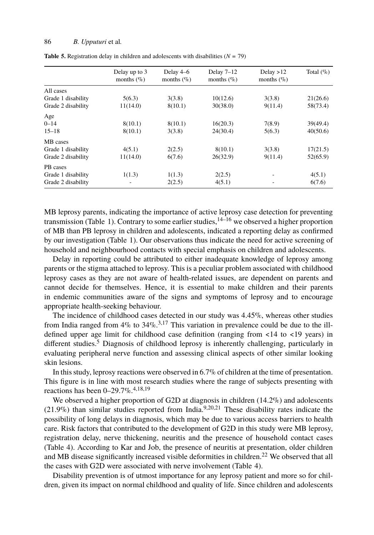# <span id="page-7-0"></span>86 *B. Upputuri* et al*.*

|  | <b>Table 5.</b> Registration delay in children and adolescents with disabilities $(N = 79)$ |  |  |  |
|--|---------------------------------------------------------------------------------------------|--|--|--|
|--|---------------------------------------------------------------------------------------------|--|--|--|

|                    | Delay up to 3<br>months $(\% )$ | Delay 4–6<br>months $(\% )$ | Delay $7-12$<br>months $(\% )$ | Delay $>12$<br>months $(\% )$ | Total $(\% )$ |
|--------------------|---------------------------------|-----------------------------|--------------------------------|-------------------------------|---------------|
| All cases          |                                 |                             |                                |                               |               |
| Grade 1 disability | 5(6.3)                          | 3(3.8)                      | 10(12.6)                       | 3(3.8)                        | 21(26.6)      |
| Grade 2 disability | 11(14.0)                        | 8(10.1)                     | 30(38.0)                       | 9(11.4)                       | 58(73.4)      |
| Age                |                                 |                             |                                |                               |               |
| $0 - 14$           | 8(10.1)                         | 8(10.1)                     | 16(20.3)                       | 7(8.9)                        | 39(49.4)      |
| $15 - 18$          | 8(10.1)                         | 3(3.8)                      | 24(30.4)                       | 5(6.3)                        | 40(50.6)      |
| MB cases           |                                 |                             |                                |                               |               |
| Grade 1 disability | 4(5.1)                          | 2(2.5)                      | 8(10.1)                        | 3(3.8)                        | 17(21.5)      |
| Grade 2 disability | 11(14.0)                        | 6(7.6)                      | 26(32.9)                       | 9(11.4)                       | 52(65.9)      |
| PB cases           |                                 |                             |                                |                               |               |
| Grade 1 disability | 1(1.3)                          | 1(1.3)                      | 2(2.5)                         |                               | 4(5.1)        |
| Grade 2 disability | ۰                               | 2(2.5)                      | 4(5.1)                         |                               | 6(7.6)        |

MB leprosy parents, indicating the importance of active leprosy case detection for preventing transmission (Table 1). Contrary to some earlier studies,  $14-16$  we observed a higher proportion of MB than PB leprosy in children and adolescents, indicated a reporting delay as confirmed by our investigation (Table 1). Our o[b](#page-9-10)[se](#page-9-11)rvations thus indicate the need for active screening of household and neighbourhood contacts with special emphasis on children and adolescents.

Delay in repo[rt](#page-9-0)ing could be attributed to either inadequate knowledge of leprosy among parents or the stigma attached to leprosy. This is a peculiar problem associated with childhood leprosy cases as they are not aware of health-related issues, are dependent on parents and cannot decide for themselves. Hence, it is essential to make children and their parents in endemic communities aware of the signs and symptoms of leprosy and to encourage appropriate health-seeking [be](#page-9-12)[ha](#page-9-13)[vio](#page-9-14)ur.

The incidence of childhood cases detected in our study was 4.45%, whereas other studies from India ranged from  $4\%$  to  $34\%$ ,  $3.17$  This varia[ti](#page-9-3)[on](#page-9-15) [in](#page-9-16) prevalence could be due to the illdefined upper age limit for childhood case definition (ranging from <14 to <19 years) in different studies.<sup>5</sup> Diagnosis of childhood leprosy is inherently challenging, particularly in evaluating peripheral nerve function and assessing clinical aspects of other similar looking skin le[sio](#page-6-0)ns.

In this study, leprosy reactions were observed in 6.7% of children at t[he](#page-9-17) time of presentation. This figure is in line with most research studies where the range o[f s](#page-6-0)ubjects presenting with reactions has been 0–29.7%.4,18,19

We observed a higher proportion of G2D at diagnosis in children (14.2%) and adolescents  $(21.9\%)$  than similar studies reported from India.<sup>9,20,21</sup> These disability rates indicate the possibility of long delays in diagnosis, which may be due to various access barriers to health care. Risk factors that contributed to the development of G2D in this study were MB leprosy, registration delay, nerve thickening, neuritis and the presence of household contact cases (Table 4). According to Kar and Job, the presence of neuritis at presentation, older children and MB disease significantly increased visible deformities in children.<sup>22</sup> We observed that all the cases with G2D were associated with nerve involvement (Table 4).

Disability prevention is of utmost importance for any leprosy patient and more so for children, given its impact on normal childhood and quality of life. Since children and adolescents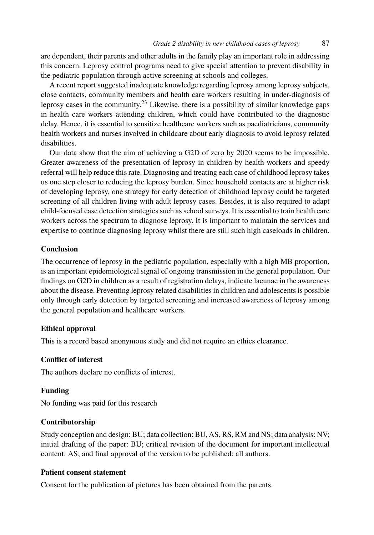### *Grade 2 disability in new childhood cases of leprosy* 87

are dependent, their parents and other adults in the family play an important role in addressing this concern. Leprosy control programs need to give special attention to prevent disability in the pediatric population through active screening at schools and colleges.

A recent report suggested inadequate knowledge regarding leprosy among leprosy subjects, close contacts, community members and health care workers resulting in under-diagnosis of leprosy cases in the community.<sup>23</sup> Likewise, there is a possibility of similar knowledge gaps in health care workers attending children, which could have contributed to the diagnostic delay. Hence, it is essential to sensitize healthcare workers such as paediatricians, community health workers and nurses involved in childcare about early diagnosis to avoid leprosy related disabilities.

Our data show that the aim of achieving a G2D of zero by 2020 seems to be impossible. Greater awareness of the presentation of leprosy in children by health workers and speedy referral will help reduce this rate. Diagnosing and treating each case of childhood leprosy takes us one step closer to reducing the leprosy burden. Since household contacts are at higher risk of developing leprosy, one strategy for early detection of childhood leprosy could be targeted screening of all children living with adult leprosy cases. Besides, it is also required to adapt child-focused case detection strategies such as school surveys. It is essential to train health care workers across the spectrum to diagnose leprosy. It is important to maintain the services and expertise to continue diagnosing leprosy whilst there are still such high caseloads in children.

## **Conclusion**

The occurrence of leprosy in the pediatric population, especially with a high MB proportion, is an important epidemiological signal of ongoing transmission in the general population. Our findings on G2D in children as a result of registration delays, indicate lacunae in the awareness about the disease. Preventing leprosy related disabilities in children and adolescents is possible only through early detection by targeted screening and increased awareness of leprosy among the general population and healthcare workers.

## **Ethical approval**

This is a record based anonymous study and did not require an ethics clearance.

# **Conflict of interest**

The authors declare no conflicts of interest.

# **Funding**

No funding was paid for this research

#### **Contributorship**

Study conception and design: BU; data collection: BU, AS, RS, RM and NS; data analysis: NV; initial drafting of the paper: BU; critical revision of the document for important intellectual content: AS; and final approval of the version to be published: all authors.

# **Patient consent statement**

Consent for the publication of pictures has been obtained from the parents.